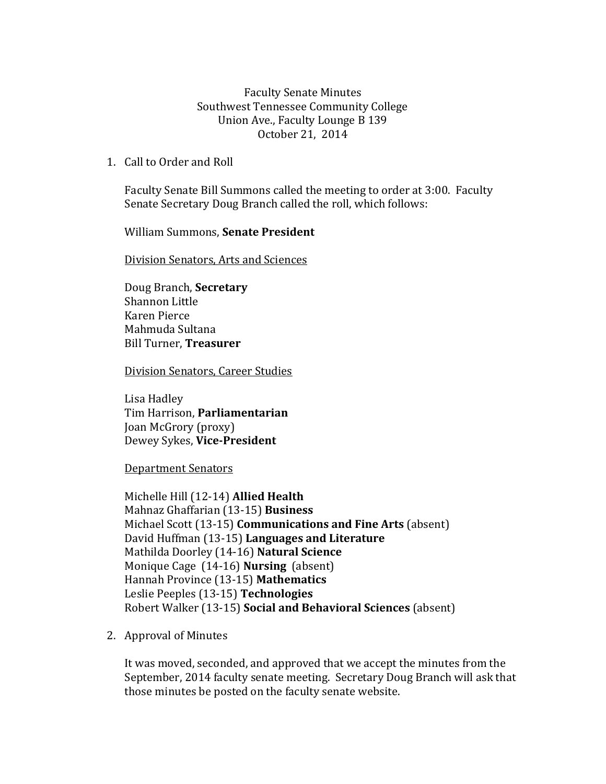Faculty Senate Minutes Southwest Tennessee Community College Union Ave., Faculty Lounge B 139 October 21, 2014

1. Call to Order and Roll

Faculty Senate Bill Summons called the meeting to order at 3:00. Faculty Senate Secretary Doug Branch called the roll, which follows:

William Summons, **Senate President**

Division Senators, Arts and Sciences

Doug Branch, **Secretary** Shannon Little Karen Pierce Mahmuda Sultana Bill Turner, **Treasurer**

Division Senators, Career Studies

Lisa Hadley Tim Harrison, **Parliamentarian** Joan McGrory (proxy) Dewey Sykes, **Vice-President**

Department Senators

Michelle Hill (12-14) **Allied Health** Mahnaz Ghaffarian (13-15) **Business** Michael Scott (13-15) **Communications and Fine Arts** (absent) David Huffman (13-15) **Languages and Literature** Mathilda Doorley (14-16) **Natural Science** Monique Cage (14-16) **Nursing** (absent) Hannah Province (13-15) **Mathematics** Leslie Peeples (13-15) **Technologies**  Robert Walker (13-15) **Social and Behavioral Sciences** (absent)

2. Approval of Minutes

It was moved, seconded, and approved that we accept the minutes from the September, 2014 faculty senate meeting. Secretary Doug Branch will ask that those minutes be posted on the faculty senate website.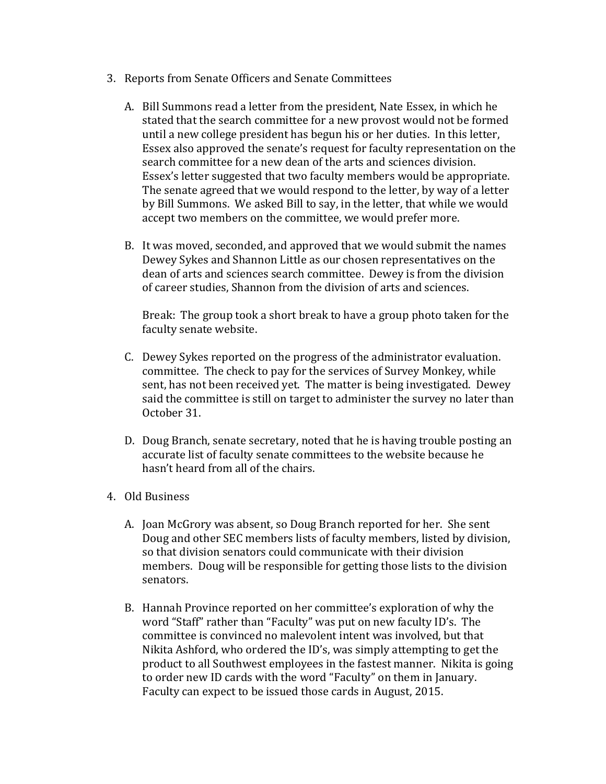- 3. Reports from Senate Officers and Senate Committees
	- A. Bill Summons read a letter from the president, Nate Essex, in which he stated that the search committee for a new provost would not be formed until a new college president has begun his or her duties. In this letter, Essex also approved the senate's request for faculty representation on the search committee for a new dean of the arts and sciences division. Essex's letter suggested that two faculty members would be appropriate. The senate agreed that we would respond to the letter, by way of a letter by Bill Summons. We asked Bill to say, in the letter, that while we would accept two members on the committee, we would prefer more.
	- B. It was moved, seconded, and approved that we would submit the names Dewey Sykes and Shannon Little as our chosen representatives on the dean of arts and sciences search committee. Dewey is from the division of career studies, Shannon from the division of arts and sciences.

Break: The group took a short break to have a group photo taken for the faculty senate website.

- C. Dewey Sykes reported on the progress of the administrator evaluation. committee. The check to pay for the services of Survey Monkey, while sent, has not been received yet. The matter is being investigated. Dewey said the committee is still on target to administer the survey no later than October 31.
- D. Doug Branch, senate secretary, noted that he is having trouble posting an accurate list of faculty senate committees to the website because he hasn't heard from all of the chairs.
- 4. Old Business
	- A. Joan McGrory was absent, so Doug Branch reported for her. She sent Doug and other SEC members lists of faculty members, listed by division, so that division senators could communicate with their division members. Doug will be responsible for getting those lists to the division senators.
	- B. Hannah Province reported on her committee's exploration of why the word "Staff" rather than "Faculty" was put on new faculty ID's. The committee is convinced no malevolent intent was involved, but that Nikita Ashford, who ordered the ID's, was simply attempting to get the product to all Southwest employees in the fastest manner. Nikita is going to order new ID cards with the word "Faculty" on them in January. Faculty can expect to be issued those cards in August, 2015.